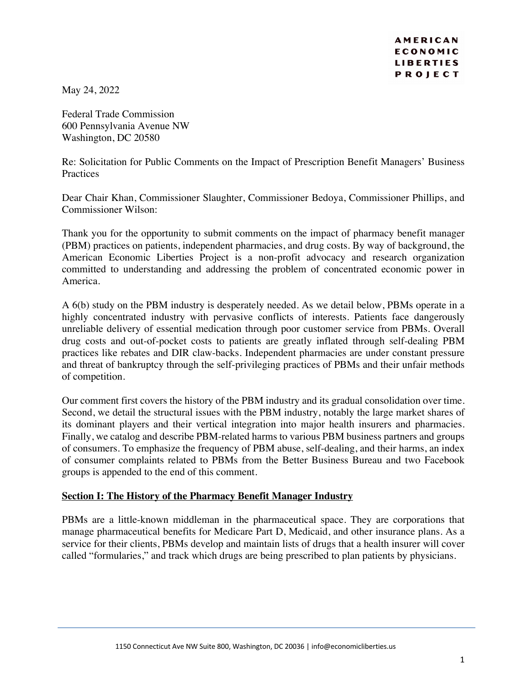May 24, 2022

Federal Trade Commission 600 Pennsylvania Avenue NW Washington, DC 20580

Re: Solicitation for Public Comments on the Impact of Prescription Benefit Managers' Business **Practices** 

Dear Chair Khan, Commissioner Slaughter, Commissioner Bedoya, Commissioner Phillips, and Commissioner Wilson:

Thank you for the opportunity to submit comments on the impact of pharmacy benefit manager (PBM) practices on patients, independent pharmacies, and drug costs. By way of background, the American Economic Liberties Project is a non-profit advocacy and research organization committed to understanding and addressing the problem of concentrated economic power in America.

A 6(b) study on the PBM industry is desperately needed. As we detail below, PBMs operate in a highly concentrated industry with pervasive conflicts of interests. Patients face dangerously unreliable delivery of essential medication through poor customer service from PBMs. Overall drug costs and out-of-pocket costs to patients are greatly inflated through self-dealing PBM practices like rebates and DIR claw-backs. Independent pharmacies are under constant pressure and threat of bankruptcy through the self-privileging practices of PBMs and their unfair methods of competition.

Our comment first covers the history of the PBM industry and its gradual consolidation over time. Second, we detail the structural issues with the PBM industry, notably the large market shares of its dominant players and their vertical integration into major health insurers and pharmacies. Finally, we catalog and describe PBM-related harms to various PBM business partners and groups of consumers. To emphasize the frequency of PBM abuse, self-dealing, and their harms, an index of consumer complaints related to PBMs from the Better Business Bureau and two Facebook groups is appended to the end of this comment.

# **Section I: The History of the Pharmacy Benefit Manager Industry**

PBMs are a little-known middleman in the pharmaceutical space. They are corporations that manage pharmaceutical benefits for Medicare Part D, Medicaid, and other insurance plans. As a service for their clients, PBMs develop and maintain lists of drugs that a health insurer will cover called "formularies," and track which drugs are being prescribed to plan patients by physicians.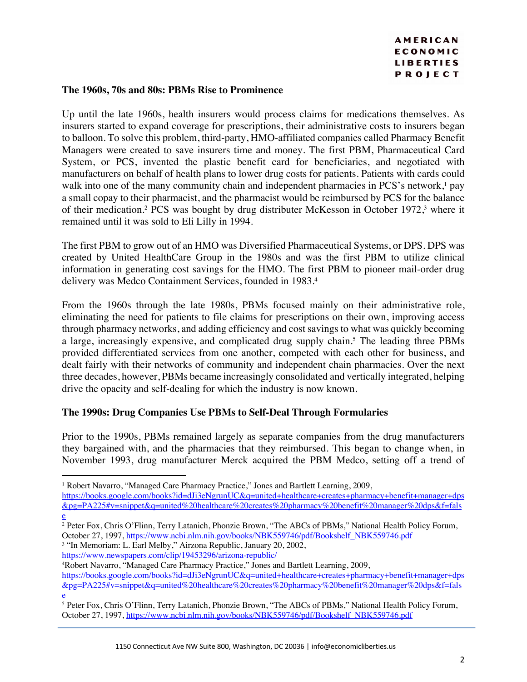#### **The 1960s, 70s and 80s: PBMs Rise to Prominence**

Up until the late 1960s, health insurers would process claims for medications themselves. As insurers started to expand coverage for prescriptions, their administrative costs to insurers began to balloon. To solve this problem, third-party, HMO-affiliated companies called Pharmacy Benefit Managers were created to save insurers time and money. The first PBM, Pharmaceutical Card System, or PCS, invented the plastic benefit card for beneficiaries, and negotiated with manufacturers on behalf of health plans to lower drug costs for patients. Patients with cards could walk into one of the many community chain and independent pharmacies in PCS's network,<sup>1</sup> pay a small copay to their pharmacist, and the pharmacist would be reimbursed by PCS for the balance of their medication.<sup>2</sup> PCS was bought by drug distributer McKesson in October 1972,<sup>3</sup> where it remained until it was sold to Eli Lilly in 1994.

The first PBM to grow out of an HMO was Diversified Pharmaceutical Systems, or DPS. DPS was created by United HealthCare Group in the 1980s and was the first PBM to utilize clinical information in generating cost savings for the HMO. The first PBM to pioneer mail-order drug delivery was Medco Containment Services, founded in 1983.4

From the 1960s through the late 1980s, PBMs focused mainly on their administrative role, eliminating the need for patients to file claims for prescriptions on their own, improving access through pharmacy networks, and adding efficiency and cost savings to what was quickly becoming a large, increasingly expensive, and complicated drug supply chain. <sup>5</sup> The leading three PBMs provided differentiated services from one another, competed with each other for business, and dealt fairly with their networks of community and independent chain pharmacies. Over the next three decades, however, PBMs became increasingly consolidated and vertically integrated, helping drive the opacity and self-dealing for which the industry is now known.

# **The 1990s: Drug Companies Use PBMs to Self-Deal Through Formularies**

Prior to the 1990s, PBMs remained largely as separate companies from the drug manufacturers they bargained with, and the pharmacies that they reimbursed. This began to change when, in November 1993, drug manufacturer Merck acquired the PBM Medco, setting off a trend of

<sup>3</sup> "In Memoriam: L. Earl Melby," Airzona Republic, January 20, 2002,

https://www.newspapers.com/clip/19453296/arizona-republic/

4Robert Navarro, "Managed Care Pharmacy Practice," Jones and Bartlett Learning, 2009,

<sup>1</sup> Robert Navarro, "Managed Care Pharmacy Practice," Jones and Bartlett Learning, 2009,

https://books.google.com/books?id=dJi3eNgrunUC&q=united+healthcare+creates+pharmacy+benefit+manager+dps &pg=PA225#v=snippet&q=united%20healthcare%20creates%20pharmacy%20benefit%20manager%20dps&f=fals e

<sup>2</sup> Peter Fox, Chris O'Flinn, Terry Latanich, Phonzie Brown, "The ABCs of PBMs," National Health Policy Forum, October 27, 1997, https://www.ncbi.nlm.nih.gov/books/NBK559746/pdf/Bookshelf\_NBK559746.pdf

https://books.google.com/books?id=dJi3eNgrunUC&q=united+healthcare+creates+pharmacy+benefit+manager+dps &pg=PA225#v=snippet&q=united%20healthcare%20creates%20pharmacy%20benefit%20manager%20dps&f=fals e

<sup>5</sup> Peter Fox, Chris O'Flinn, Terry Latanich, Phonzie Brown, "The ABCs of PBMs," National Health Policy Forum, October 27, 1997, https://www.ncbi.nlm.nih.gov/books/NBK559746/pdf/Bookshelf\_NBK559746.pdf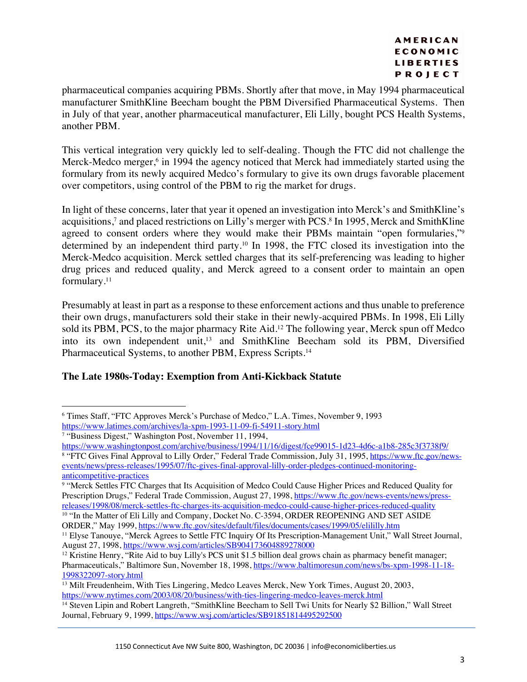pharmaceutical companies acquiring PBMs. Shortly after that move, in May 1994 pharmaceutical manufacturer SmithKline Beecham bought the PBM Diversified Pharmaceutical Systems. Then in July of that year, another pharmaceutical manufacturer, Eli Lilly, bought PCS Health Systems, another PBM.

This vertical integration very quickly led to self-dealing. Though the FTC did not challenge the Merck-Medco merger,<sup>6</sup> in 1994 the agency noticed that Merck had immediately started using the formulary from its newly acquired Medco's formulary to give its own drugs favorable placement over competitors, using control of the PBM to rig the market for drugs.

In light of these concerns, later that year it opened an investigation into Merck's and SmithKline's acquisitions,<sup>7</sup> and placed restrictions on Lilly's merger with PCS.<sup>8</sup> In 1995, Merck and SmithKline agreed to consent orders where they would make their PBMs maintain "open formularies,"<sup>9</sup> determined by an independent third party.<sup>10</sup> In 1998, the FTC closed its investigation into the Merck-Medco acquisition. Merck settled charges that its self-preferencing was leading to higher drug prices and reduced quality, and Merck agreed to a consent order to maintain an open formulary. 11

Presumably at least in part as a response to these enforcement actions and thus unable to preference their own drugs, manufacturers sold their stake in their newly-acquired PBMs. In 1998, Eli Lilly sold its PBM, PCS, to the major pharmacy Rite Aid.<sup>12</sup> The following year, Merck spun off Medco into its own independent unit,<sup>13</sup> and SmithKline Beecham sold its PBM, Diversified Pharmaceutical Systems, to another PBM, Express Scripts.<sup>14</sup>

# **The Late 1980s-Today: Exemption from Anti-Kickback Statute**

<sup>9</sup> "Merck Settles FTC Charges that Its Acquisition of Medco Could Cause Higher Prices and Reduced Quality for Prescription Drugs," Federal Trade Commission, August 27, 1998, https://www.ftc.gov/news-events/news/pressreleases/1998/08/merck-settles-ftc-charges-its-acquisition-medco-could-cause-higher-prices-reduced-quality

<sup>10</sup> "In the Matter of Eli Lilly and Company, Docket No. C-3594, ORDER REOPENING AND SET ASIDE ORDER," May 1999, https://www.ftc.gov/sites/default/files/documents/cases/1999/05/elililly.htm

<sup>6</sup> Times Staff, "FTC Approves Merck's Purchase of Medco," L.A. Times, November 9, 1993 https://www.latimes.com/archives/la-xpm-1993-11-09-fi-54911-story.html

<sup>7</sup> "Business Digest," Washington Post, November 11, 1994,

https://www.washingtonpost.com/archive/business/1994/11/16/digest/fce99015-1d23-4d6c-a1b8-285c3f3738f9/ <sup>8</sup> "FTC Gives Final Approval to Lilly Order," Federal Trade Commission, July 31, 1995, https://www.ftc.gov/newsevents/news/press-releases/1995/07/ftc-gives-final-approval-lilly-order-pledges-continued-monitoringanticompetitive-practices

<sup>&</sup>lt;sup>11</sup> Elyse Tanouye, "Merck Agrees to Settle FTC Inquiry Of Its Prescription-Management Unit," Wall Street Journal, August 27, 1998, https://www.wsj.com/articles/SB904173604889278000

<sup>&</sup>lt;sup>12</sup> Kristine Henry, "Rite Aid to buy Lilly's PCS unit \$1.5 billion deal grows chain as pharmacy benefit manager; Pharmaceuticals," Baltimore Sun, November 18, 1998, https://www.baltimoresun.com/news/bs-xpm-1998-11-18- 1998322097-story.html

<sup>&</sup>lt;sup>13</sup> Milt Freudenheim, With Ties Lingering, Medco Leaves Merck, New York Times, August 20, 2003, https://www.nytimes.com/2003/08/20/business/with-ties-lingering-medco-leaves-merck.html

<sup>14</sup> Steven Lipin and Robert Langreth, "SmithKline Beecham to Sell Twi Units for Nearly \$2 Billion," Wall Street Journal, February 9, 1999, https://www.wsj.com/articles/SB91851814495292500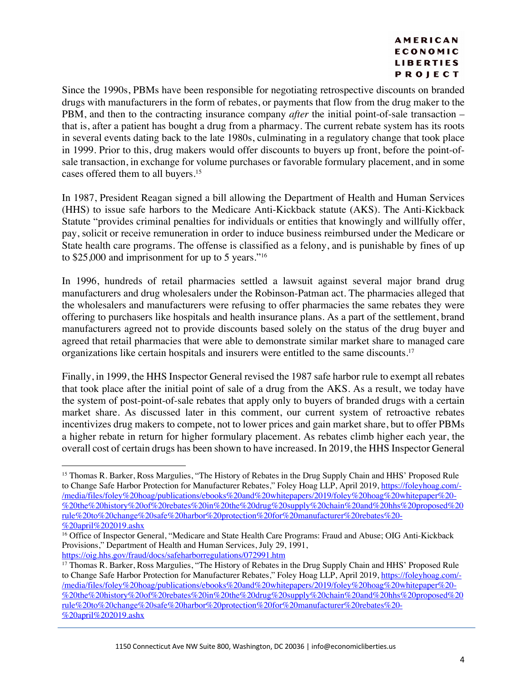Since the 1990s, PBMs have been responsible for negotiating retrospective discounts on branded drugs with manufacturers in the form of rebates, or payments that flow from the drug maker to the PBM, and then to the contracting insurance company *after* the initial point-of-sale transaction – that is, after a patient has bought a drug from a pharmacy. The current rebate system has its roots in several events dating back to the late 1980s, culminating in a regulatory change that took place in 1999. Prior to this, drug makers would offer discounts to buyers up front, before the point-ofsale transaction, in exchange for volume purchases or favorable formulary placement, and in some cases offered them to all buyers.15

In 1987, President Reagan signed a bill allowing the Department of Health and Human Services (HHS) to issue safe harbors to the Medicare Anti-Kickback statute (AKS). The Anti-Kickback Statute "provides criminal penalties for individuals or entities that knowingly and willfully offer, pay, solicit or receive remuneration in order to induce business reimbursed under the Medicare or State health care programs. The offense is classified as a felony, and is punishable by fines of up to \$25,000 and imprisonment for up to 5 years."16

In 1996, hundreds of retail pharmacies settled a lawsuit against several major brand drug manufacturers and drug wholesalers under the Robinson-Patman act. The pharmacies alleged that the wholesalers and manufacturers were refusing to offer pharmacies the same rebates they were offering to purchasers like hospitals and health insurance plans. As a part of the settlement, brand manufacturers agreed not to provide discounts based solely on the status of the drug buyer and agreed that retail pharmacies that were able to demonstrate similar market share to managed care organizations like certain hospitals and insurers were entitled to the same discounts.<sup>17</sup>

Finally, in 1999, the HHS Inspector General revised the 1987 safe harbor rule to exempt all rebates that took place after the initial point of sale of a drug from the AKS. As a result, we today have the system of post-point-of-sale rebates that apply only to buyers of branded drugs with a certain market share. As discussed later in this comment, our current system of retroactive rebates incentivizes drug makers to compete, not to lower prices and gain market share, but to offer PBMs a higher rebate in return for higher formulary placement. As rebates climb higher each year, the overall cost of certain drugs has been shown to have increased. In 2019, the HHS Inspector General

<sup>15</sup> Thomas R. Barker, Ross Margulies, "The History of Rebates in the Drug Supply Chain and HHS' Proposed Rule to Change Safe Harbor Protection for Manufacturer Rebates," Foley Hoag LLP, April 2019, https://foleyhoag.com/-/media/files/foley%20hoag/publications/ebooks%20and%20whitepapers/2019/foley%20hoag%20whitepaper%20- %20the%20history%20of%20rebates%20in%20the%20drug%20supply%20chain%20and%20hhs%20proposed%20 rule%20to%20change%20safe%20harbor%20protection%20for%20manufacturer%20rebates%20- %20april%202019.ashx

<sup>&</sup>lt;sup>16</sup> Office of Inspector General, "Medicare and State Health Care Programs: Fraud and Abuse; OIG Anti-Kickback Provisions," Department of Health and Human Services, July 29, 1991, https://oig.hhs.gov/fraud/docs/safeharborregulations/072991.htm

<sup>17</sup> Thomas R. Barker, Ross Margulies, "The History of Rebates in the Drug Supply Chain and HHS' Proposed Rule to Change Safe Harbor Protection for Manufacturer Rebates," Foley Hoag LLP, April 2019, https://foleyhoag.com/- /media/files/foley%20hoag/publications/ebooks%20and%20whitepapers/2019/foley%20hoag%20whitepaper%20- %20the%20history%20of%20rebates%20in%20the%20drug%20supply%20chain%20and%20hhs%20proposed%20 rule%20to%20change%20safe%20harbor%20protection%20for%20manufacturer%20rebates%20- %20april%202019.ashx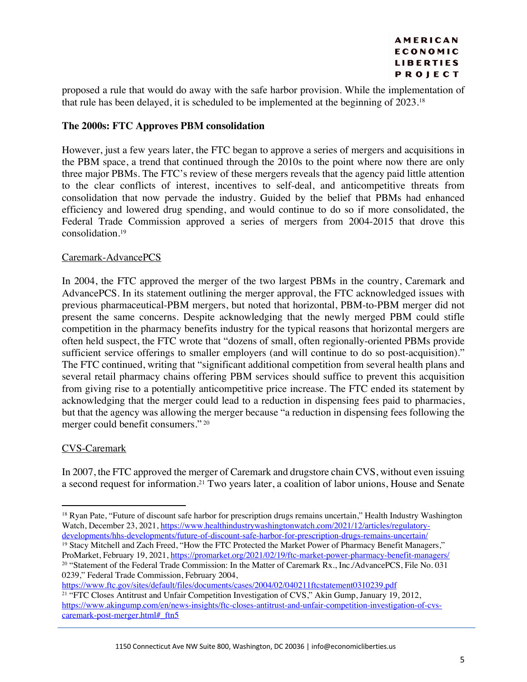proposed a rule that would do away with the safe harbor provision. While the implementation of that rule has been delayed, it is scheduled to be implemented at the beginning of 2023.18

# **The 2000s: FTC Approves PBM consolidation**

However, just a few years later, the FTC began to approve a series of mergers and acquisitions in the PBM space, a trend that continued through the 2010s to the point where now there are only three major PBMs. The FTC's review of these mergers reveals that the agency paid little attention to the clear conflicts of interest, incentives to self-deal, and anticompetitive threats from consolidation that now pervade the industry. Guided by the belief that PBMs had enhanced efficiency and lowered drug spending, and would continue to do so if more consolidated, the Federal Trade Commission approved a series of mergers from 2004-2015 that drove this consolidation.19

# Caremark-AdvancePCS

In 2004, the FTC approved the merger of the two largest PBMs in the country, Caremark and AdvancePCS. In its statement outlining the merger approval, the FTC acknowledged issues with previous pharmaceutical-PBM mergers, but noted that horizontal, PBM-to-PBM merger did not present the same concerns. Despite acknowledging that the newly merged PBM could stifle competition in the pharmacy benefits industry for the typical reasons that horizontal mergers are often held suspect, the FTC wrote that "dozens of small, often regionally-oriented PBMs provide sufficient service offerings to smaller employers (and will continue to do so post-acquisition)." The FTC continued, writing that "significant additional competition from several health plans and several retail pharmacy chains offering PBM services should suffice to prevent this acquisition from giving rise to a potentially anticompetitive price increase. The FTC ended its statement by acknowledging that the merger could lead to a reduction in dispensing fees paid to pharmacies, but that the agency was allowing the merger because "a reduction in dispensing fees following the merger could benefit consumers." <sup>20</sup>

# CVS-Caremark

In 2007, the FTC approved the merger of Caremark and drugstore chain CVS, without even issuing a second request for information.21 Two years later, a coalition of labor unions, House and Senate

<sup>&</sup>lt;sup>18</sup> Ryan Pate, "Future of discount safe harbor for prescription drugs remains uncertain," Health Industry Washington Watch, December 23, 2021, https://www.healthindustrywashingtonwatch.com/2021/12/articles/regulatorydevelopments/hhs-developments/future-of-discount-safe-harbor-for-prescription-drugs-remains-uncertain/ <sup>19</sup> Stacy Mitchell and Zach Freed, "How the FTC Protected the Market Power of Pharmacy Benefit Managers," ProMarket, February 19, 2021, https://promarket.org/2021/02/19/ftc-market-power-pharmacy-benefit-managers/

<sup>20</sup> "Statement of the Federal Trade Commission: In the Matter of Caremark Rx., Inc./AdvancePCS, File No. 031 0239," Federal Trade Commission, February 2004,

https://www.ftc.gov/sites/default/files/documents/cases/2004/02/040211ftcstatement0310239.pdf <sup>21</sup> "FTC Closes Antitrust and Unfair Competition Investigation of CVS," Akin Gump, January 19, 2012, https://www.akingump.com/en/news-insights/ftc-closes-antitrust-and-unfair-competition-investigation-of-cvscaremark-post-merger.html# ftn5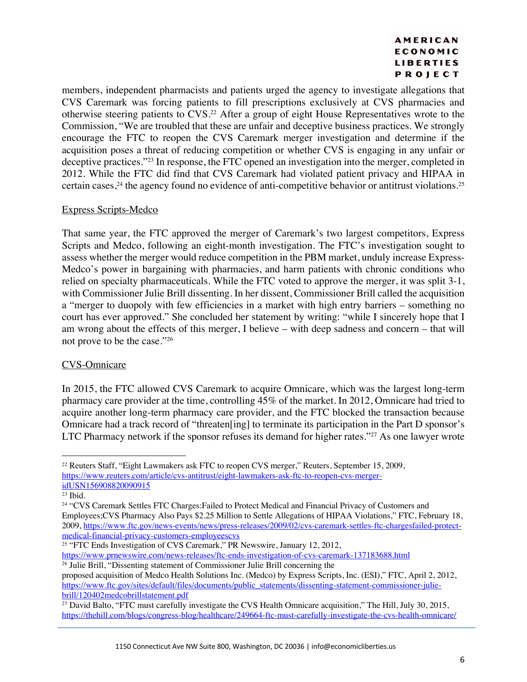members, independent pharmacists and patients urged the agency to investigate allegations that CVS Caremark was forcing patients to fill prescriptions exclusively at CVS pharmacies and otherwise steering patients to CVS.22 After a group of eight House Representatives wrote to the Commission, "We are troubled that these are unfair and deceptive business practices. We strongly encourage the FTC to reopen the CVS Caremark merger investigation and determine if the acquisition poses a threat of reducing competition or whether CVS is engaging in any unfair or deceptive practices."23 In response, the FTC opened an investigation into the merger, completed in 2012. While the FTC did find that CVS Caremark had violated patient privacy and HIPAA in certain cases, <sup>24</sup> the agency found no evidence of anti-competitive behavior or antitrust violations.25

# Express Scripts-Medco

That same year, the FTC approved the merger of Caremark's two largest competitors, Express Scripts and Medco, following an eight-month investigation. The FTC's investigation sought to assess whether the merger would reduce competition in the PBM market, unduly increase Express-Medco's power in bargaining with pharmacies, and harm patients with chronic conditions who relied on specialty pharmaceuticals. While the FTC voted to approve the merger, it was split 3-1, with Commissioner Julie Brill dissenting. In her dissent, Commissioner Brill called the acquisition a "merger to duopoly with few efficiencies in a market with high entry barriers – something no court has ever approved." She concluded her statement by writing: "while I sincerely hope that I am wrong about the effects of this merger, I believe – with deep sadness and concern – that will not prove to be the case."26

# CVS-Omnicare

In 2015, the FTC allowed CVS Caremark to acquire Omnicare, which was the largest long-term pharmacy care provider at the time, controlling 45% of the market. In 2012, Omnicare had tried to acquire another long-term pharmacy care provider, and the FTC blocked the transaction because Omnicare had a track record of "threaten[ing] to terminate its participation in the Part D sponsor's LTC Pharmacy network if the sponsor refuses its demand for higher rates."<sup>27</sup> As one lawyer wrote

<sup>&</sup>lt;sup>22</sup> Reuters Staff, "Eight Lawmakers ask FTC to reopen CVS merger," Reuters, September 15, 2009, https://www.reuters.com/article/cvs-antitrust/eight-lawmakers-ask-ftc-to-reopen-cvs-mergeridUSN156908820090915

<sup>&</sup>lt;sup>23</sup> Ibid.<br><sup>24</sup> "CVS Caremark Settles FTC Charges:Failed to Protect Medical and Financial Privacy of Customers and Employees;CVS Pharmacy Also Pays \$2.25 Million to Settle Allegations of HIPAA Violations," FTC, February 18, 2009, https://www.ftc.gov/news-events/news/press-releases/2009/02/cvs-caremark-settles-ftc-chargesfailed-protectmedical-financial-privacy-customers-employeescvs

<sup>&</sup>lt;sup>25</sup> "FTC Ends Investigation of CVS Caremark," PR Newswire, January 12, 2012,

https://www.prnewswire.com/news-releases/ftc-ends-investigation-of-cvs-caremark-137183688.html <sup>26</sup> Julie Brill, "Dissenting statement of Commissioner Julie Brill concerning the

proposed acquisition of Medco Health Solutions Inc. (Medco) by Express Scripts, Inc. (ESI)," FTC, April 2, 2012, https://www.ftc.gov/sites/default/files/documents/public\_statements/dissenting-statement-commissioner-juliebrill/120402medcobrillstatement.pdf

<sup>&</sup>lt;sup>27</sup> David Balto, "FTC must carefully investigate the CVS Health Omnicare acquisition," The Hill, July 30, 2015, https://thehill.com/blogs/congress-blog/healthcare/249664-ftc-must-carefully-investigate-the-cvs-health-omnicare/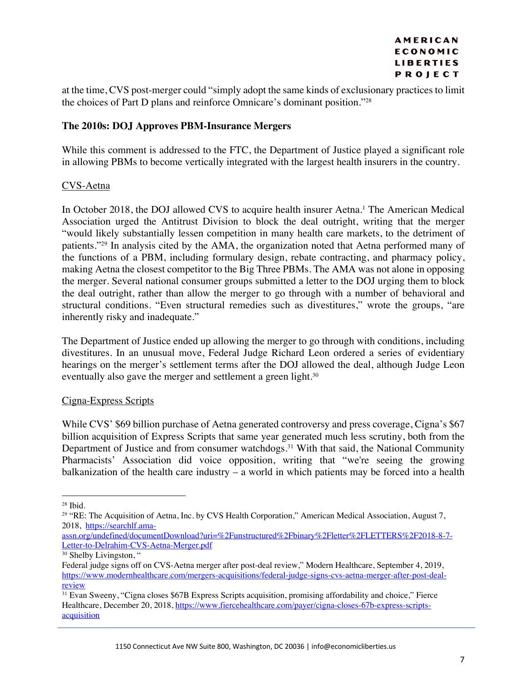at the time, CVS post-merger could "simply adopt the same kinds of exclusionary practices to limit the choices of Part D plans and reinforce Omnicare's dominant position."28

# **The 2010s: DOJ Approves PBM-Insurance Mergers**

While this comment is addressed to the FTC, the Department of Justice played a significant role in allowing PBMs to become vertically integrated with the largest health insurers in the country.

# CVS-Aetna

In October 2018, the DOJ allowed CVS to acquire health insurer Aetna.<sup>1</sup> The American Medical Association urged the Antitrust Division to block the deal outright, writing that the merger "would likely substantially lessen competition in many health care markets, to the detriment of patients."29 In analysis cited by the AMA, the organization noted that Aetna performed many of the functions of a PBM, including formulary design, rebate contracting, and pharmacy policy, making Aetna the closest competitor to the Big Three PBMs. The AMA was not alone in opposing the merger. Several national consumer groups submitted a letter to the DOJ urging them to block the deal outright, rather than allow the merger to go through with a number of behavioral and structural conditions. "Even structural remedies such as divestitures," wrote the groups, "are inherently risky and inadequate."

The Department of Justice ended up allowing the merger to go through with conditions, including divestitures. In an unusual move, Federal Judge Richard Leon ordered a series of evidentiary hearings on the merger's settlement terms after the DOJ allowed the deal, although Judge Leon eventually also gave the merger and settlement a green light.<sup>30</sup>

#### Cigna-Express Scripts

While CVS' \$69 billion purchase of Aetna generated controversy and press coverage, Cigna's \$67 billion acquisition of Express Scripts that same year generated much less scrutiny, both from the Department of Justice and from consumer watchdogs.<sup>31</sup> With that said, the National Community Pharmacists' Association did voice opposition, writing that "we're seeing the growing balkanization of the health care industry – a world in which patients may be forced into a health

<sup>28</sup> Ibid.

<sup>&</sup>lt;sup>29</sup> "RE: The Acquisition of Aetna, Inc. by CVS Health Corporation," American Medical Association, August 7, 2018, https://searchlf.ama-

assn.org/undefined/documentDownload?uri=%2Funstructured%2Fbinary%2Fletter%2FLETTERS%2F2018-8-7- Letter-to-Delrahim-CVS-Aetna-Merger.pdf

<sup>&</sup>lt;sup>30</sup> Shelby Livingston, "

Federal judge signs off on CVS-Aetna merger after post-deal review," Modern Healthcare, September 4, 2019, https://www.modernhealthcare.com/mergers-acquisitions/federal-judge-signs-cvs-aetna-merger-after-post-dealreview

<sup>31</sup> Evan Sweeny, "Cigna closes \$67B Express Scripts acquisition, promising affordability and choice," Fierce Healthcare, December 20, 2018, https://www.fiercehealthcare.com/payer/cigna-closes-67b-express-scriptsacquisition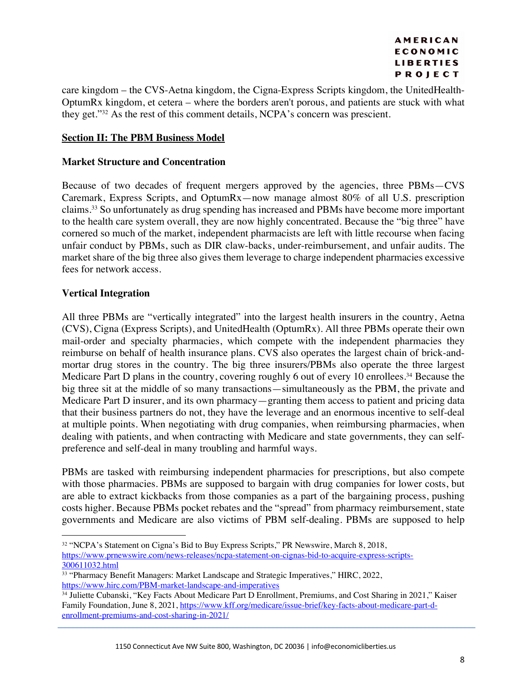care kingdom – the CVS-Aetna kingdom, the Cigna-Express Scripts kingdom, the UnitedHealth-OptumRx kingdom, et cetera – where the borders aren't porous, and patients are stuck with what they get."32 As the rest of this comment details, NCPA's concern was prescient.

# **Section II: The PBM Business Model**

### **Market Structure and Concentration**

Because of two decades of frequent mergers approved by the agencies, three PBMs—CVS Caremark, Express Scripts, and OptumRx—now manage almost 80% of all U.S. prescription claims.33 So unfortunately as drug spending has increased and PBMs have become more important to the health care system overall, they are now highly concentrated. Because the "big three" have cornered so much of the market, independent pharmacists are left with little recourse when facing unfair conduct by PBMs, such as DIR claw-backs, under-reimbursement, and unfair audits. The market share of the big three also gives them leverage to charge independent pharmacies excessive fees for network access.

# **Vertical Integration**

All three PBMs are "vertically integrated" into the largest health insurers in the country, Aetna (CVS), Cigna (Express Scripts), and UnitedHealth (OptumRx). All three PBMs operate their own mail-order and specialty pharmacies, which compete with the independent pharmacies they reimburse on behalf of health insurance plans. CVS also operates the largest chain of brick-andmortar drug stores in the country. The big three insurers/PBMs also operate the three largest Medicare Part D plans in the country, covering roughly 6 out of every 10 enrollees.<sup>34</sup> Because the big three sit at the middle of so many transactions—simultaneously as the PBM, the private and Medicare Part D insurer, and its own pharmacy—granting them access to patient and pricing data that their business partners do not, they have the leverage and an enormous incentive to self-deal at multiple points. When negotiating with drug companies, when reimbursing pharmacies, when dealing with patients, and when contracting with Medicare and state governments, they can selfpreference and self-deal in many troubling and harmful ways.

PBMs are tasked with reimbursing independent pharmacies for prescriptions, but also compete with those pharmacies. PBMs are supposed to bargain with drug companies for lower costs, but are able to extract kickbacks from those companies as a part of the bargaining process, pushing costs higher. Because PBMs pocket rebates and the "spread" from pharmacy reimbursement, state governments and Medicare are also victims of PBM self-dealing. PBMs are supposed to help

<sup>32</sup> "NCPA's Statement on Cigna's Bid to Buy Express Scripts," PR Newswire, March 8, 2018, https://www.prnewswire.com/news-releases/ncpa-statement-on-cignas-bid-to-acquire-express-scripts-300611032.html

<sup>&</sup>lt;sup>33</sup> "Pharmacy Benefit Managers: Market Landscape and Strategic Imperatives," HIRC, 2022, https://www.hirc.com/PBM-market-landscape-and-imperatives

<sup>34</sup> Juliette Cubanski, "Key Facts About Medicare Part D Enrollment, Premiums, and Cost Sharing in 2021," Kaiser Family Foundation, June 8, 2021, https://www.kff.org/medicare/issue-brief/key-facts-about-medicare-part-denrollment-premiums-and-cost-sharing-in-2021/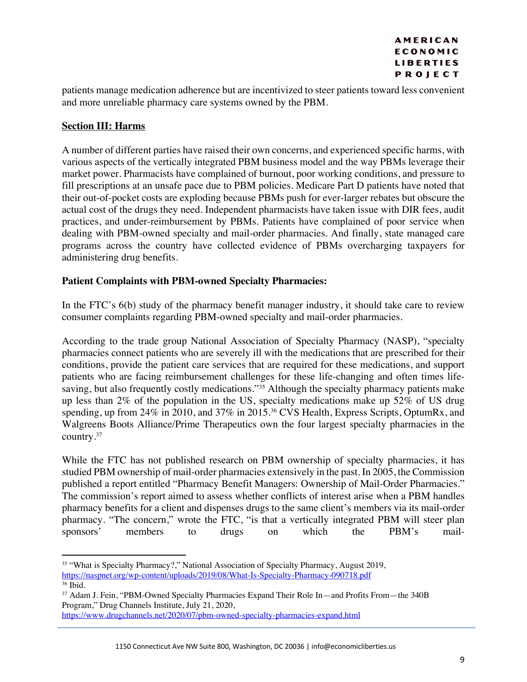patients manage medication adherence but are incentivized to steer patients toward less convenient and more unreliable pharmacy care systems owned by the PBM.

# **Section III: Harms**

A number of different parties have raised their own concerns, and experienced specific harms, with various aspects of the vertically integrated PBM business model and the way PBMs leverage their market power. Pharmacists have complained of burnout, poor working conditions, and pressure to fill prescriptions at an unsafe pace due to PBM policies. Medicare Part D patients have noted that their out-of-pocket costs are exploding because PBMs push for ever-larger rebates but obscure the actual cost of the drugs they need. Independent pharmacists have taken issue with DIR fees, audit practices, and under-reimbursement by PBMs. Patients have complained of poor service when dealing with PBM-owned specialty and mail-order pharmacies. And finally, state managed care programs across the country have collected evidence of PBMs overcharging taxpayers for administering drug benefits.

# **Patient Complaints with PBM-owned Specialty Pharmacies:**

In the FTC's 6(b) study of the pharmacy benefit manager industry, it should take care to review consumer complaints regarding PBM-owned specialty and mail-order pharmacies.

According to the trade group National Association of Specialty Pharmacy (NASP), "specialty pharmacies connect patients who are severely ill with the medications that are prescribed for their conditions, provide the patient care services that are required for these medications, and support patients who are facing reimbursement challenges for these life-changing and often times lifesaving, but also frequently costly medications."<sup>35</sup> Although the specialty pharmacy patients make up less than 2% of the population in the US, specialty medications make up 52% of US drug spending, up from 24% in 2010, and 37% in 2015.<sup>36</sup> CVS Health, Express Scripts, OptumRx, and Walgreens Boots Alliance/Prime Therapeutics own the four largest specialty pharmacies in the country.37

While the FTC has not published research on PBM ownership of specialty pharmacies, it has studied PBM ownership of mail-order pharmacies extensively in the past. In 2005, the Commission published a report entitled "Pharmacy Benefit Managers: Ownership of Mail-Order Pharmacies." The commission's report aimed to assess whether conflicts of interest arise when a PBM handles pharmacy benefits for a client and dispenses drugs to the same client's members via its mail-order pharmacy. "The concern," wrote the FTC, "is that a vertically integrated PBM will steer plan<br>sponsors' members to drugs on which the PBM's mailsponsors' members to drugs on which the PBM's mail-

<sup>35</sup> "What is Specialty Pharmacy?," National Association of Specialty Pharmacy, August 2019, https://naspnet.org/wp-content/uploads/2019/08/What-Is-Specialty-Pharmacy-090718.pdf

<sup>&</sup>lt;sup>37</sup> Adam J. Fein, "PBM-Owned Specialty Pharmacies Expand Their Role In—and Profits From—the 340B Program," Drug Channels Institute, July 21, 2020,

https://www.drugchannels.net/2020/07/pbm-owned-specialty-pharmacies-expand.html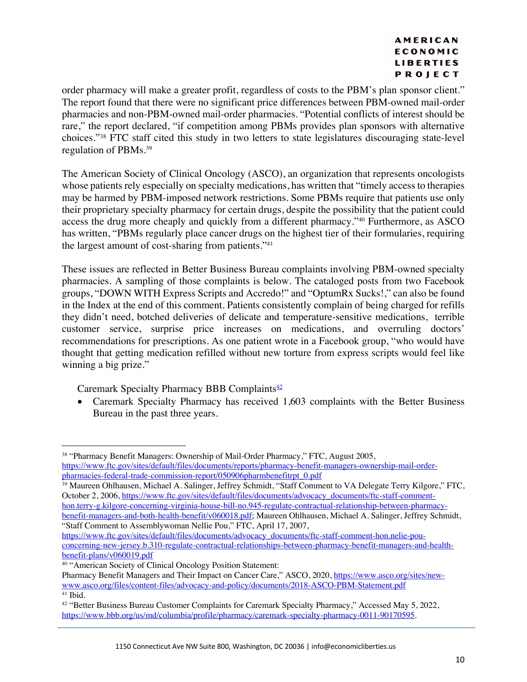order pharmacy will make a greater profit, regardless of costs to the PBM's plan sponsor client." The report found that there were no significant price differences between PBM-owned mail-order pharmacies and non-PBM-owned mail-order pharmacies. "Potential conflicts of interest should be rare," the report declared, "if competition among PBMs provides plan sponsors with alternative choices."38 FTC staff cited this study in two letters to state legislatures discouraging state-level regulation of PBMs.39

The American Society of Clinical Oncology (ASCO), an organization that represents oncologists whose patients rely especially on specialty medications, has written that "timely access to therapies may be harmed by PBM-imposed network restrictions. Some PBMs require that patients use only their proprietary specialty pharmacy for certain drugs, despite the possibility that the patient could access the drug more cheaply and quickly from a different pharmacy."40 Furthermore, as ASCO has written, "PBMs regularly place cancer drugs on the highest tier of their formularies, requiring the largest amount of cost-sharing from patients."41

These issues are reflected in Better Business Bureau complaints involving PBM-owned specialty pharmacies. A sampling of those complaints is below. The cataloged posts from two Facebook groups, "DOWN WITH Express Scripts and Accredo!" and "OptumRx Sucks!," can also be found in the Index at the end of this comment. Patients consistently complain of being charged for refills they didn't need, botched deliveries of delicate and temperature-sensitive medications, terrible customer service, surprise price increases on medications, and overruling doctors' recommendations for prescriptions. As one patient wrote in a Facebook group, "who would have thought that getting medication refilled without new torture from express scripts would feel like winning a big prize."

Caremark Specialty Pharmacy BBB Complaints<sup>42</sup>

• Caremark Specialty Pharmacy has received 1,603 complaints with the Better Business Bureau in the past three years.

<sup>&</sup>lt;sup>38</sup> "Pharmacy Benefit Managers: Ownership of Mail-Order Pharmacy," FTC, August 2005, https://www.ftc.gov/sites/default/files/documents/reports/pharmacy-benefit-managers-ownership-mail-orderpharmacies-federal-trade-commission-report/050906pharmbenefitrpt\_0.pdf

<sup>39</sup> Maureen Ohlhausen, Michael A. Salinger, Jeffrey Schmidt, "Staff Comment to VA Delegate Terry Kilgore," FTC, October 2, 2006, https://www.ftc.gov/sites/default/files/documents/advocacy\_documents/ftc-staff-commenthon.terry-g.kilgore-concerning-virginia-house-bill-no.945-regulate-contractual-relationship-between-pharmacybenefit-managers-and-both-health-benefit/v060018.pdf; Maureen Ohlhausen, Michael A. Salinger, Jeffrey Schmidt, "Staff Comment to Assemblywoman Nellie Pou," FTC, April 17, 2007,

https://www.ftc.gov/sites/default/files/documents/advocacy\_documents/ftc-staff-comment-hon.nelie-pouconcerning-new-jersey.b.310-regulate-contractual-relationships-between-pharmacy-benefit-managers-and-healthbenefit-plans/v060019.pdf

<sup>40</sup> "American Society of Clinical Oncology Position Statement:

Pharmacy Benefit Managers and Their Impact on Cancer Care," ASCO, 2020, https://www.asco.org/sites/newwww.asco.org/files/content-files/advocacy-and-policy/documents/2018-ASCO-PBM-Statement.pdf <sup>41</sup> Ibid.

<sup>42</sup> "Better Business Bureau Customer Complaints for Caremark Specialty Pharmacy," Accessed May 5, 2022, https://www.bbb.org/us/md/columbia/profile/pharmacy/caremark-specialty-pharmacy-0011-90170595.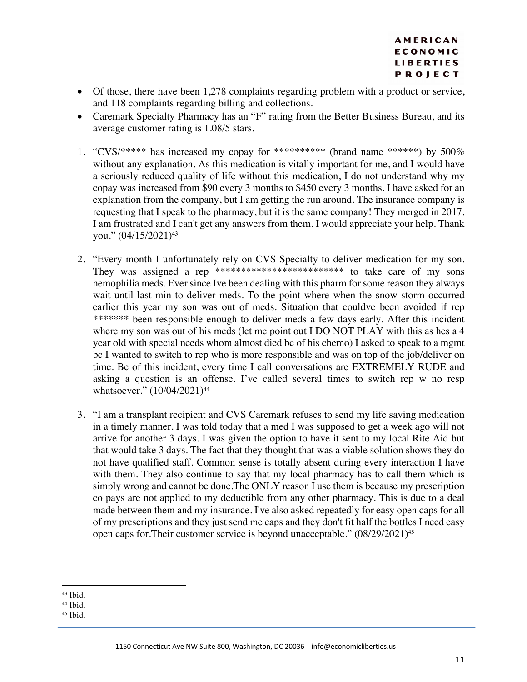- Of those, there have been 1,278 complaints regarding problem with a product or service, and 118 complaints regarding billing and collections.
- Caremark Specialty Pharmacy has an "F" rating from the Better Business Bureau, and its average customer rating is 1.08/5 stars.
- 1. "CVS/\*\*\*\*\* has increased my copay for \*\*\*\*\*\*\*\*\*\* (brand name \*\*\*\*\*\*) by  $500\%$ without any explanation. As this medication is vitally important for me, and I would have a seriously reduced quality of life without this medication, I do not understand why my copay was increased from \$90 every 3 months to \$450 every 3 months. I have asked for an explanation from the company, but I am getting the run around. The insurance company is requesting that I speak to the pharmacy, but it is the same company! They merged in 2017. I am frustrated and I can't get any answers from them. I would appreciate your help. Thank you."  $(04/15/2021)^{43}$
- 2. "Every month I unfortunately rely on CVS Specialty to deliver medication for my son. They was assigned a rep \*\*\*\*\*\*\*\*\*\*\*\*\*\*\*\*\*\*\*\*\*\*\*\*\* to take care of my sons hemophilia meds. Ever since Ive been dealing with this pharm for some reason they always wait until last min to deliver meds. To the point where when the snow storm occurred earlier this year my son was out of meds. Situation that couldve been avoided if rep \*\*\*\*\*\*\* been responsible enough to deliver meds a few days early. After this incident where my son was out of his meds (let me point out I DO NOT PLAY with this as hes a 4 year old with special needs whom almost died bc of his chemo) I asked to speak to a mgmt bc I wanted to switch to rep who is more responsible and was on top of the job/deliver on time. Bc of this incident, every time I call conversations are EXTREMELY RUDE and asking a question is an offense. I've called several times to switch rep w no resp whatsoever." (10/04/2021)<sup>44</sup>
- 3. "I am a transplant recipient and CVS Caremark refuses to send my life saving medication in a timely manner. I was told today that a med I was supposed to get a week ago will not arrive for another 3 days. I was given the option to have it sent to my local Rite Aid but that would take 3 days. The fact that they thought that was a viable solution shows they do not have qualified staff. Common sense is totally absent during every interaction I have with them. They also continue to say that my local pharmacy has to call them which is simply wrong and cannot be done.The ONLY reason I use them is because my prescription co pays are not applied to my deductible from any other pharmacy. This is due to a deal made between them and my insurance. I've also asked repeatedly for easy open caps for all of my prescriptions and they just send me caps and they don't fit half the bottles I need easy open caps for.Their customer service is beyond unacceptable." (08/29/2021)45

<sup>43</sup> Ibid.

<sup>44</sup> Ibid.

<sup>45</sup> Ibid.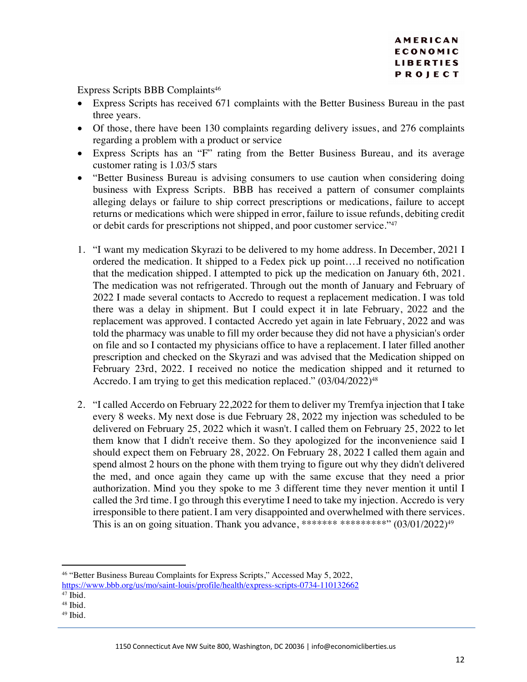Express Scripts BBB Complaints<sup>46</sup>

- Express Scripts has received 671 complaints with the Better Business Bureau in the past three years.
- Of those, there have been 130 complaints regarding delivery issues, and 276 complaints regarding a problem with a product or service
- Express Scripts has an "F" rating from the Better Business Bureau, and its average customer rating is 1.03/5 stars
- "Better Business Bureau is advising consumers to use caution when considering doing business with Express Scripts. BBB has received a pattern of consumer complaints alleging delays or failure to ship correct prescriptions or medications, failure to accept returns or medications which were shipped in error, failure to issue refunds, debiting credit or debit cards for prescriptions not shipped, and poor customer service."47
- 1. "I want my medication Skyrazi to be delivered to my home address. In December, 2021 I ordered the medication. It shipped to a Fedex pick up point….I received no notification that the medication shipped. I attempted to pick up the medication on January 6th, 2021. The medication was not refrigerated. Through out the month of January and February of 2022 I made several contacts to Accredo to request a replacement medication. I was told there was a delay in shipment. But I could expect it in late February, 2022 and the replacement was approved. I contacted Accredo yet again in late February, 2022 and was told the pharmacy was unable to fill my order because they did not have a physician's order on file and so I contacted my physicians office to have a replacement. I later filled another prescription and checked on the Skyrazi and was advised that the Medication shipped on February 23rd, 2022. I received no notice the medication shipped and it returned to Accredo. I am trying to get this medication replaced."  $(03/04/2022)^{48}$
- 2. "I called Accerdo on February 22,2022 for them to deliver my Tremfya injection that I take every 8 weeks. My next dose is due February 28, 2022 my injection was scheduled to be delivered on February 25, 2022 which it wasn't. I called them on February 25, 2022 to let them know that I didn't receive them. So they apologized for the inconvenience said I should expect them on February 28, 2022. On February 28, 2022 I called them again and spend almost 2 hours on the phone with them trying to figure out why they didn't delivered the med, and once again they came up with the same excuse that they need a prior authorization. Mind you they spoke to me 3 different time they never mention it until I called the 3rd time. I go through this everytime I need to take my injection. Accredo is very irresponsible to there patient. I am very disappointed and overwhelmed with there services. This is an on going situation. Thank you advance, \*\*\*\*\*\*\* \*\*\*\*\*\*\*\*\*" (03/01/2022)49

<sup>46</sup> "Better Business Bureau Complaints for Express Scripts," Accessed May 5, 2022, https://www.bbb.org/us/mo/saint-louis/profile/health/express-scripts-0734-110132662

 $47$  Ibid.

<sup>48</sup> Ibid.

<sup>49</sup> Ibid.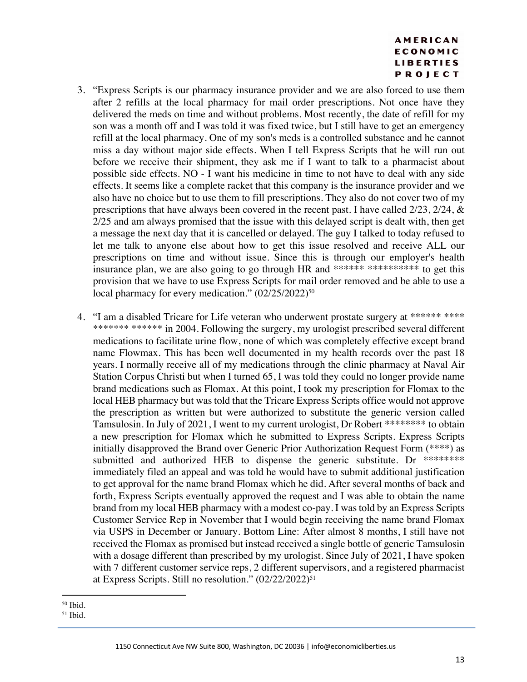- 3. "Express Scripts is our pharmacy insurance provider and we are also forced to use them after 2 refills at the local pharmacy for mail order prescriptions. Not once have they delivered the meds on time and without problems. Most recently, the date of refill for my son was a month off and I was told it was fixed twice, but I still have to get an emergency refill at the local pharmacy. One of my son's meds is a controlled substance and he cannot miss a day without major side effects. When I tell Express Scripts that he will run out before we receive their shipment, they ask me if I want to talk to a pharmacist about possible side effects. NO - I want his medicine in time to not have to deal with any side effects. It seems like a complete racket that this company is the insurance provider and we also have no choice but to use them to fill prescriptions. They also do not cover two of my prescriptions that have always been covered in the recent past. I have called 2/23, 2/24, & 2/25 and am always promised that the issue with this delayed script is dealt with, then get a message the next day that it is cancelled or delayed. The guy I talked to today refused to let me talk to anyone else about how to get this issue resolved and receive ALL our prescriptions on time and without issue. Since this is through our employer's health insurance plan, we are also going to go through HR and \*\*\*\*\*\* \*\*\*\*\*\*\*\*\*\*\*\*\*\*\* to get this provision that we have to use Express Scripts for mail order removed and be able to use a local pharmacy for every medication."  $(02/25/2022)^{50}$
- 4. "I am a disabled Tricare for Life veteran who underwent prostate surgery at \*\*\*\*\*\* \*\*\*\* \*\*\*\*\*\*\*\* \*\*\*\*\*\* in 2004. Following the surgery, my urologist prescribed several different medications to facilitate urine flow, none of which was completely effective except brand name Flowmax. This has been well documented in my health records over the past 18 years. I normally receive all of my medications through the clinic pharmacy at Naval Air Station Corpus Christi but when I turned 65, I was told they could no longer provide name brand medications such as Flomax. At this point, I took my prescription for Flomax to the local HEB pharmacy but was told that the Tricare Express Scripts office would not approve the prescription as written but were authorized to substitute the generic version called Tamsulosin. In July of 2021, I went to my current urologist, Dr Robert \*\*\*\*\*\*\*\* to obtain a new prescription for Flomax which he submitted to Express Scripts. Express Scripts initially disapproved the Brand over Generic Prior Authorization Request Form (\*\*\*\*) as submitted and authorized HEB to dispense the generic substitute. Dr \*\*\*\*\*\*\*\* immediately filed an appeal and was told he would have to submit additional justification to get approval for the name brand Flomax which he did. After several months of back and forth, Express Scripts eventually approved the request and I was able to obtain the name brand from my local HEB pharmacy with a modest co-pay. I was told by an Express Scripts Customer Service Rep in November that I would begin receiving the name brand Flomax via USPS in December or January. Bottom Line: After almost 8 months, I still have not received the Flomax as promised but instead received a single bottle of generic Tamsulosin with a dosage different than prescribed by my urologist. Since July of 2021, I have spoken with 7 different customer service reps, 2 different supervisors, and a registered pharmacist at Express Scripts. Still no resolution." (02/22/2022)<sup>51</sup>

<sup>50</sup> Ibid.

<sup>51</sup> Ibid.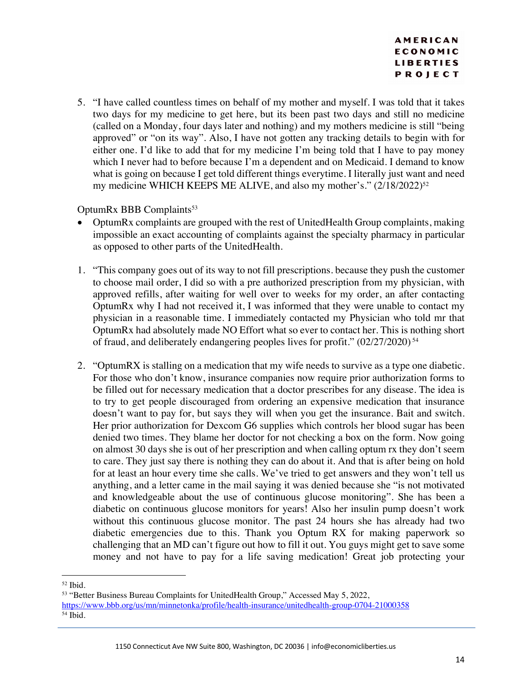5. "I have called countless times on behalf of my mother and myself. I was told that it takes two days for my medicine to get here, but its been past two days and still no medicine (called on a Monday, four days later and nothing) and my mothers medicine is still "being approved" or "on its way". Also, I have not gotten any tracking details to begin with for either one. I'd like to add that for my medicine I'm being told that I have to pay money which I never had to before because I'm a dependent and on Medicaid. I demand to know what is going on because I get told different things everytime. I literally just want and need my medicine WHICH KEEPS ME ALIVE, and also my mother's." (2/18/2022)<sup>52</sup>

# OptumRx BBB Complaints<sup>53</sup>

- OptumRx complaints are grouped with the rest of UnitedHealth Group complaints, making impossible an exact accounting of complaints against the specialty pharmacy in particular as opposed to other parts of the UnitedHealth.
- 1. "This company goes out of its way to not fill prescriptions. because they push the customer to choose mail order, I did so with a pre authorized prescription from my physician, with approved refills, after waiting for well over to weeks for my order, an after contacting OptumRx why I had not received it, I was informed that they were unable to contact my physician in a reasonable time. I immediately contacted my Physician who told mr that OptumRx had absolutely made NO Effort what so ever to contact her. This is nothing short of fraud, and deliberately endangering peoples lives for profit." (02/27/2020) <sup>54</sup>
- 2. "OptumRX is stalling on a medication that my wife needs to survive as a type one diabetic. For those who don't know, insurance companies now require prior authorization forms to be filled out for necessary medication that a doctor prescribes for any disease. The idea is to try to get people discouraged from ordering an expensive medication that insurance doesn't want to pay for, but says they will when you get the insurance. Bait and switch. Her prior authorization for Dexcom G6 supplies which controls her blood sugar has been denied two times. They blame her doctor for not checking a box on the form. Now going on almost 30 days she is out of her prescription and when calling optum rx they don't seem to care. They just say there is nothing they can do about it. And that is after being on hold for at least an hour every time she calls. We've tried to get answers and they won't tell us anything, and a letter came in the mail saying it was denied because she "is not motivated and knowledgeable about the use of continuous glucose monitoring". She has been a diabetic on continuous glucose monitors for years! Also her insulin pump doesn't work without this continuous glucose monitor. The past 24 hours she has already had two diabetic emergencies due to this. Thank you Optum RX for making paperwork so challenging that an MD can't figure out how to fill it out. You guys might get to save some money and not have to pay for a life saving medication! Great job protecting your

<sup>53</sup> "Better Business Bureau Complaints for UnitedHealth Group," Accessed May 5, 2022, https://www.bbb.org/us/mn/minnetonka/profile/health-insurance/unitedhealth-group-0704-21000358  $54$  Ibid.

<sup>52</sup> Ibid.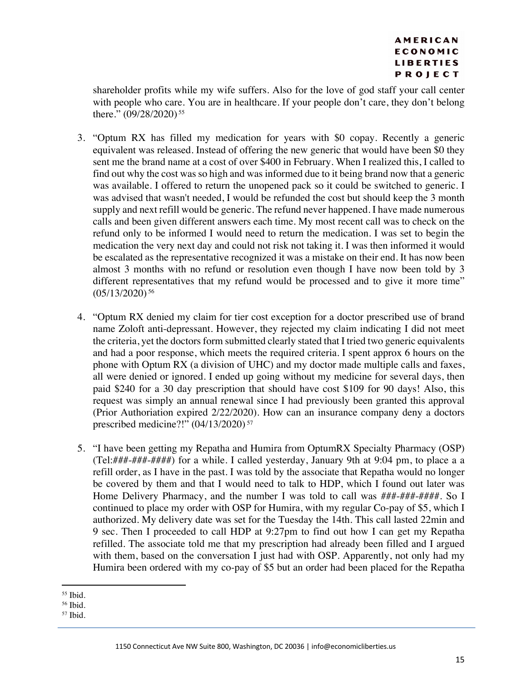shareholder profits while my wife suffers. Also for the love of god staff your call center with people who care. You are in healthcare. If your people don't care, they don't belong there." (09/28/2020)<sup>55</sup>

- 3. "Optum RX has filled my medication for years with \$0 copay. Recently a generic equivalent was released. Instead of offering the new generic that would have been \$0 they sent me the brand name at a cost of over \$400 in February. When I realized this, I called to find out why the cost was so high and was informed due to it being brand now that a generic was available. I offered to return the unopened pack so it could be switched to generic. I was advised that wasn't needed, I would be refunded the cost but should keep the 3 month supply and next refill would be generic. The refund never happened. I have made numerous calls and been given different answers each time. My most recent call was to check on the refund only to be informed I would need to return the medication. I was set to begin the medication the very next day and could not risk not taking it. I was then informed it would be escalated as the representative recognized it was a mistake on their end. It has now been almost 3 months with no refund or resolution even though I have now been told by 3 different representatives that my refund would be processed and to give it more time" (05/13/2020) <sup>56</sup>
- 4. "Optum RX denied my claim for tier cost exception for a doctor prescribed use of brand name Zoloft anti-depressant. However, they rejected my claim indicating I did not meet the criteria, yet the doctors form submitted clearly stated that I tried two generic equivalents and had a poor response, which meets the required criteria. I spent approx 6 hours on the phone with Optum RX (a division of UHC) and my doctor made multiple calls and faxes, all were denied or ignored. I ended up going without my medicine for several days, then paid \$240 for a 30 day prescription that should have cost \$109 for 90 days! Also, this request was simply an annual renewal since I had previously been granted this approval (Prior Authoriation expired 2/22/2020). How can an insurance company deny a doctors prescribed medicine?!" (04/13/2020) <sup>57</sup>
- 5. "I have been getting my Repatha and Humira from OptumRX Specialty Pharmacy (OSP) (Tel:###-###-####) for a while. I called yesterday, January 9th at 9:04 pm, to place a a refill order, as I have in the past. I was told by the associate that Repatha would no longer be covered by them and that I would need to talk to HDP, which I found out later was Home Delivery Pharmacy, and the number I was told to call was ###-###-####. So I continued to place my order with OSP for Humira, with my regular Co-pay of \$5, which I authorized. My delivery date was set for the Tuesday the 14th. This call lasted 22min and 9 sec. Then I proceeded to call HDP at 9:27pm to find out how I can get my Repatha refilled. The associate told me that my prescription had already been filled and I argued with them, based on the conversation I just had with OSP. Apparently, not only had my Humira been ordered with my co-pay of \$5 but an order had been placed for the Repatha

<sup>55</sup> Ibid.

<sup>56</sup> Ibid.

<sup>57</sup> Ibid.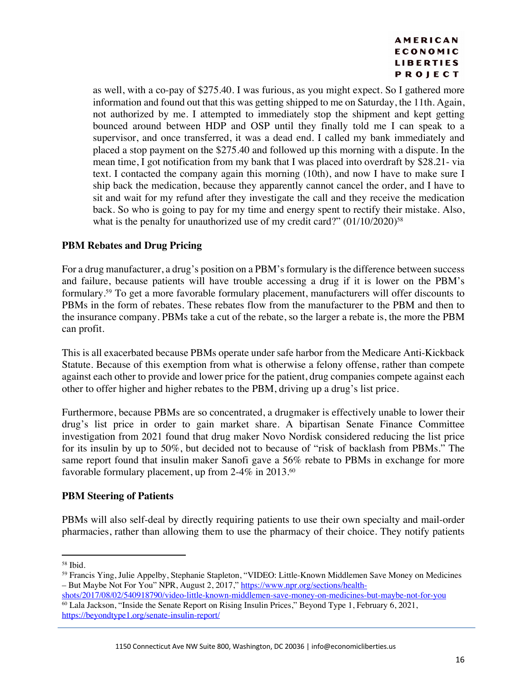as well, with a co-pay of \$275.40. I was furious, as you might expect. So I gathered more information and found out that this was getting shipped to me on Saturday, the 11th. Again, not authorized by me. I attempted to immediately stop the shipment and kept getting bounced around between HDP and OSP until they finally told me I can speak to a supervisor, and once transferred, it was a dead end. I called my bank immediately and placed a stop payment on the \$275.40 and followed up this morning with a dispute. In the mean time, I got notification from my bank that I was placed into overdraft by \$28.21- via text. I contacted the company again this morning (10th), and now I have to make sure I ship back the medication, because they apparently cannot cancel the order, and I have to sit and wait for my refund after they investigate the call and they receive the medication back. So who is going to pay for my time and energy spent to rectify their mistake. Also, what is the penalty for unauthorized use of my credit card?"  $(01/10/2020)^{58}$ 

# **PBM Rebates and Drug Pricing**

For a drug manufacturer, a drug's position on a PBM's formulary is the difference between success and failure, because patients will have trouble accessing a drug if it is lower on the PBM's formulary.59 To get a more favorable formulary placement, manufacturers will offer discounts to PBMs in the form of rebates. These rebates flow from the manufacturer to the PBM and then to the insurance company. PBMs take a cut of the rebate, so the larger a rebate is, the more the PBM can profit.

This is all exacerbated because PBMs operate under safe harbor from the Medicare Anti-Kickback Statute. Because of this exemption from what is otherwise a felony offense, rather than compete against each other to provide and lower price for the patient, drug companies compete against each other to offer higher and higher rebates to the PBM, driving up a drug's list price.

Furthermore, because PBMs are so concentrated, a drugmaker is effectively unable to lower their drug's list price in order to gain market share. A bipartisan Senate Finance Committee investigation from 2021 found that drug maker Novo Nordisk considered reducing the list price for its insulin by up to 50%, but decided not to because of "risk of backlash from PBMs." The same report found that insulin maker Sanofi gave a 56% rebate to PBMs in exchange for more favorable formulary placement, up from  $2-4\%$  in  $2013.^{60}$ 

# **PBM Steering of Patients**

PBMs will also self-deal by directly requiring patients to use their own specialty and mail-order pharmacies, rather than allowing them to use the pharmacy of their choice. They notify patients

<sup>&</sup>lt;sup>58</sup> Ibid.<br><sup>59</sup> Francis Ying, Julie Appelby, Stephanie Stapleton, "VIDEO: Little-Known Middlemen Save Money on Medicines – But Maybe Not For You" NPR, August 2, 2017," https://www.npr.org/sections/health-

shots/2017/08/02/540918790/video-little-known-middlemen-save-money-on-medicines-but-maybe-not-for-you  $\overline{60}$  Lala Jackson, "Inside the Senate Report on Rising Insulin Prices," Beyond Type 1, February 6, 2021, https://beyondtype1.org/senate-insulin-report/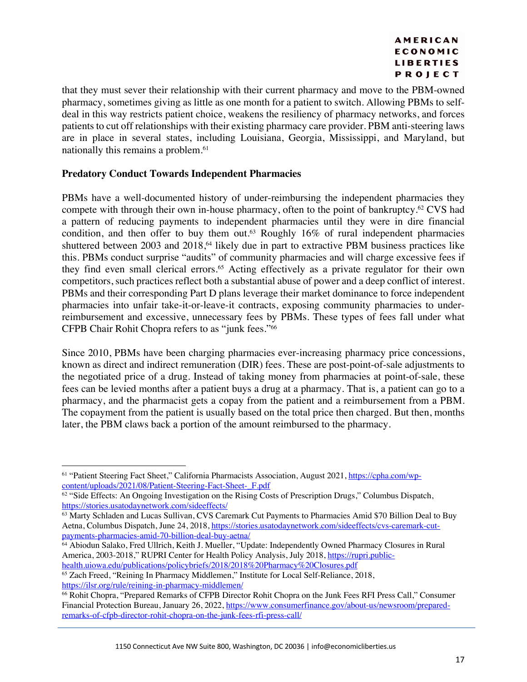that they must sever their relationship with their current pharmacy and move to the PBM-owned pharmacy, sometimes giving as little as one month for a patient to switch. Allowing PBMs to selfdeal in this way restricts patient choice, weakens the resiliency of pharmacy networks, and forces patients to cut off relationships with their existing pharmacy care provider. PBM anti-steering laws are in place in several states, including Louisiana, Georgia, Mississippi, and Maryland, but nationally this remains a problem. 61

# **Predatory Conduct Towards Independent Pharmacies**

PBMs have a well-documented history of under-reimbursing the independent pharmacies they compete with through their own in-house pharmacy, often to the point of bankruptcy.62 CVS had a pattern of reducing payments to independent pharmacies until they were in dire financial condition, and then offer to buy them out.<sup>63</sup> Roughly 16% of rural independent pharmacies shuttered between 2003 and 2018,<sup>64</sup> likely due in part to extractive PBM business practices like this. PBMs conduct surprise "audits" of community pharmacies and will charge excessive fees if they find even small clerical errors.65 Acting effectively as a private regulator for their own competitors, such practices reflect both a substantial abuse of power and a deep conflict of interest. PBMs and their corresponding Part D plans leverage their market dominance to force independent pharmacies into unfair take-it-or-leave-it contracts, exposing community pharmacies to underreimbursement and excessive, unnecessary fees by PBMs. These types of fees fall under what CFPB Chair Rohit Chopra refers to as "junk fees."66

Since 2010, PBMs have been charging pharmacies ever-increasing pharmacy price concessions, known as direct and indirect remuneration (DIR) fees. These are post-point-of-sale adjustments to the negotiated price of a drug. Instead of taking money from pharmacies at point-of-sale, these fees can be levied months after a patient buys a drug at a pharmacy. That is, a patient can go to a pharmacy, and the pharmacist gets a copay from the patient and a reimbursement from a PBM. The copayment from the patient is usually based on the total price then charged. But then, months later, the PBM claws back a portion of the amount reimbursed to the pharmacy.

<sup>61</sup> "Patient Steering Fact Sheet," California Pharmacists Association, August 2021, https://cpha.com/wpcontent/uploads/2021/08/Patient-Steering-Fact-Sheet-\_F.pdf

 $62$  "Side Effects: An Ongoing Investigation on the Rising Costs of Prescription Drugs," Columbus Dispatch, https://stories.usatodaynetwork.com/sideeffects/

<sup>63</sup> Marty Schladen and Lucas Sullivan, CVS Caremark Cut Payments to Pharmacies Amid \$70 Billion Deal to Buy Aetna, Columbus Dispatch, June 24, 2018, https://stories.usatodaynetwork.com/sideeffects/cvs-caremark-cutpayments-pharmacies-amid-70-billion-deal-buy-aetna/

<sup>&</sup>lt;sup>64</sup> Abiodun Salako, Fred Ullrich, Keith J. Mueller, "Update: Independently Owned Pharmacy Closures in Rural America, 2003-2018," RUPRI Center for Health Policy Analysis, July 2018, https://rupri.publichealth.uiowa.edu/publications/policybriefs/2018/2018%20Pharmacy%20Closures.pdf

<sup>65</sup> Zach Freed, "Reining In Pharmacy Middlemen," Institute for Local Self-Reliance, 2018, https://ilsr.org/rule/reining-in-pharmacy-middlemen/

<sup>66</sup> Rohit Chopra, "Prepared Remarks of CFPB Director Rohit Chopra on the Junk Fees RFI Press Call," Consumer Financial Protection Bureau, January 26, 2022, https://www.consumerfinance.gov/about-us/newsroom/preparedremarks-of-cfpb-director-rohit-chopra-on-the-junk-fees-rfi-press-call/